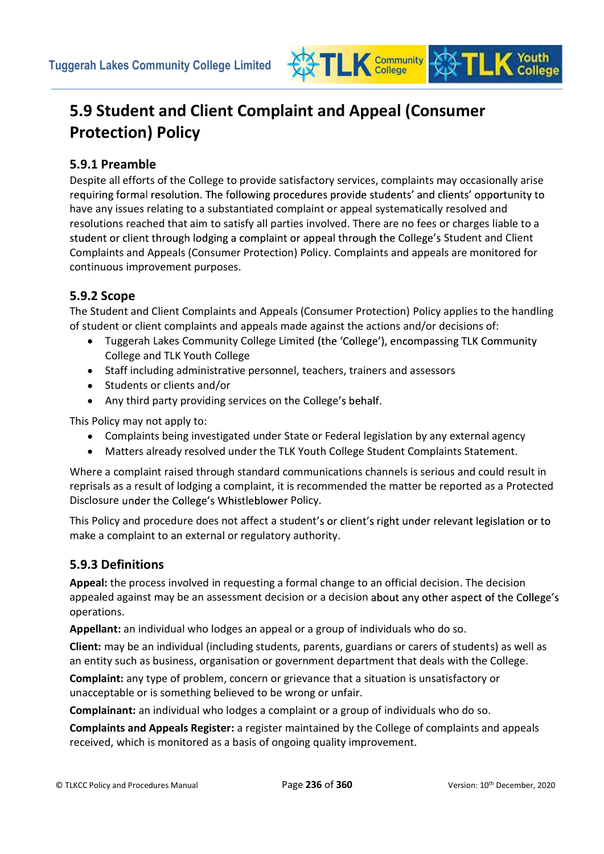# 5.9 Student and Client Complaint and Appeal (Consumer Protection) Policy

# 5.9.1 Preamble

Despite all efforts of the College to provide satisfactory services, complaints may occasionally arise requiring formal resolution. The following procedures provide students' and clients' opportunity to have any issues relating to a substantiated complaint or appeal systematically resolved and resolutions reached that aim to satisfy all parties involved. There are no fees or charges liable to a student or client through lodging a complaint or appeal through the College's Student and Client Complaints and Appeals (Consumer Protection) Policy. Complaints and appeals are monitored for continuous improvement purposes.

K Community

# 5.9.2 Scope

The Student and Client Complaints and Appeals (Consumer Protection) Policy applies to the handling of student or client complaints and appeals made against the actions and/or decisions of:

- Tuggerah Lakes Community College Limited (the 'College'), encompassing TLK Community College and TLK Youth College
- Staff including administrative personnel, teachers, trainers and assessors
- Students or clients and/or
- Any third party providing services on the College's behalf.

This Policy may not apply to:

- Complaints being investigated under State or Federal legislation by any external agency
- Matters already resolved under the TLK Youth College Student Complaints Statement.

Where a complaint raised through standard communications channels is serious and could result in reprisals as a result of lodging a complaint, it is recommended the matter be reported as a Protected Disclosure under the College's Whistleblower Policy.

This Policy and procedure does not affect a student's or client's right under relevant legislation or to make a complaint to an external or regulatory authority.

# 5.9.3 Definitions

Appeal: the process involved in requesting a formal change to an official decision. The decision appealed against may be an assessment decision or a decision about any other aspect of the College's operations.

Appellant: an individual who lodges an appeal or a group of individuals who do so.

Client: may be an individual (including students, parents, guardians or carers of students) as well as an entity such as business, organisation or government department that deals with the College.

Complaint: any type of problem, concern or grievance that a situation is unsatisfactory or unacceptable or is something believed to be wrong or unfair.

Complainant: an individual who lodges a complaint or a group of individuals who do so.

Complaints and Appeals Register: a register maintained by the College of complaints and appeals received, which is monitored as a basis of ongoing quality improvement.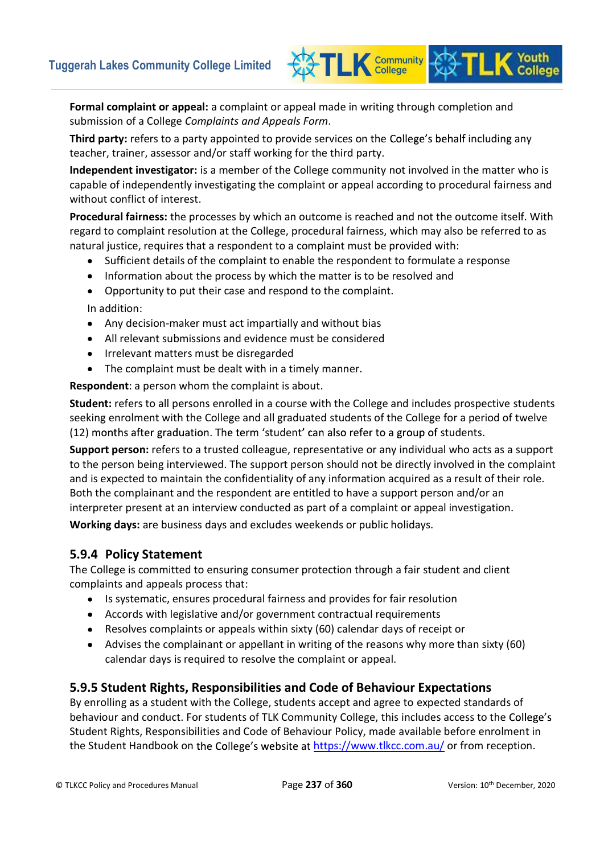Formal complaint or appeal: a complaint or appeal made in writing through completion and submission of a College Complaints and Appeals Form.

Third party: refers to a party appointed to provide services on the College's behalf including any teacher, trainer, assessor and/or staff working for the third party.

Independent investigator: is a member of the College community not involved in the matter who is capable of independently investigating the complaint or appeal according to procedural fairness and without conflict of interest.

**TLK** Community

Procedural fairness: the processes by which an outcome is reached and not the outcome itself. With regard to complaint resolution at the College, procedural fairness, which may also be referred to as natural justice, requires that a respondent to a complaint must be provided with:

- Sufficient details of the complaint to enable the respondent to formulate a response
- Information about the process by which the matter is to be resolved and
- Opportunity to put their case and respond to the complaint.

In addition:

- Any decision-maker must act impartially and without bias
- All relevant submissions and evidence must be considered
- Irrelevant matters must be disregarded
- The complaint must be dealt with in a timely manner.  $\bullet$

Respondent: a person whom the complaint is about.

Student: refers to all persons enrolled in a course with the College and includes prospective students seeking enrolment with the College and all graduated students of the College for a period of twelve (12) months after graduation. The term 'student' can also refer to a group of students.

Support person: refers to a trusted colleague, representative or any individual who acts as a support to the person being interviewed. The support person should not be directly involved in the complaint and is expected to maintain the confidentiality of any information acquired as a result of their role. Both the complainant and the respondent are entitled to have a support person and/or an interpreter present at an interview conducted as part of a complaint or appeal investigation.

Working days: are business days and excludes weekends or public holidays.

## 5.9.4 Policy Statement

The College is committed to ensuring consumer protection through a fair student and client complaints and appeals process that:

- Is systematic, ensures procedural fairness and provides for fair resolution
- Accords with legislative and/or government contractual requirements
- Resolves complaints or appeals within sixty (60) calendar days of receipt or
- Advises the complainant or appellant in writing of the reasons why more than sixty (60) calendar days is required to resolve the complaint or appeal.

# 5.9.5 Student Rights, Responsibilities and Code of Behaviour Expectations

By enrolling as a student with the College, students accept and agree to expected standards of behaviour and conduct. For students of TLK Community College, this includes access to the Student Rights, Responsibilities and Code of Behaviour Policy, made available before enrolment in the Student Handbook on the College's website at https://www.tlkcc.com.au/ or from reception.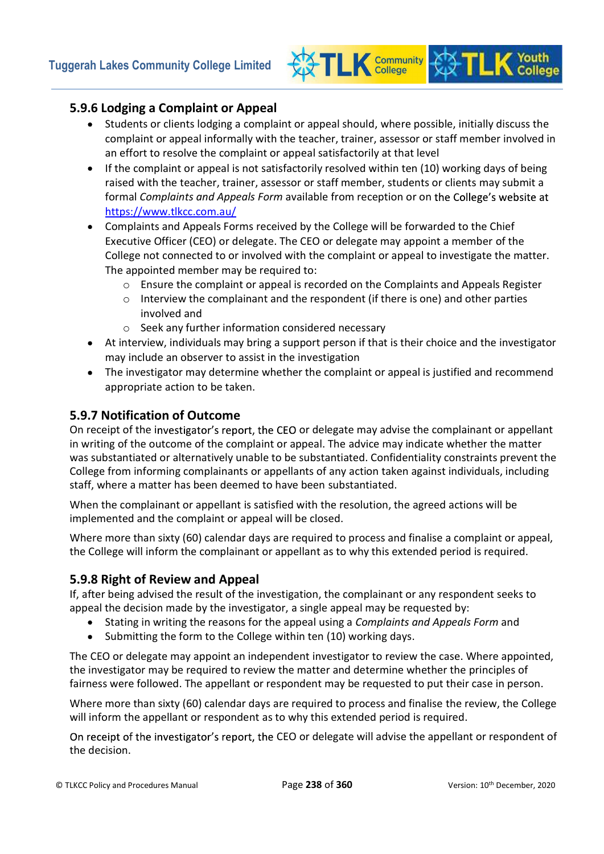

## 5.9.6 Lodging a Complaint or Appeal

- Students or clients lodging a complaint or appeal should, where possible, initially discuss the complaint or appeal informally with the teacher, trainer, assessor or staff member involved in an effort to resolve the complaint or appeal satisfactorily at that level
- If the complaint or appeal is not satisfactorily resolved within ten (10) working days of being raised with the teacher, trainer, assessor or staff member, students or clients may submit a formal Complaints and Appeals Form available from reception or on the College's website at https://www.tlkcc.com.au/
- Complaints and Appeals Forms received by the College will be forwarded to the Chief Executive Officer (CEO) or delegate. The CEO or delegate may appoint a member of the College not connected to or involved with the complaint or appeal to investigate the matter. The appointed member may be required to:
	- $\circ$  Ensure the complaint or appeal is recorded on the Complaints and Appeals Register
	- $\circ$  Interview the complainant and the respondent (if there is one) and other parties involved and
	- o Seek any further information considered necessary
- At interview, individuals may bring a support person if that is their choice and the investigator may include an observer to assist in the investigation
- The investigator may determine whether the complaint or appeal is justified and recommend appropriate action to be taken.

## 5.9.7 Notification of Outcome

On receipt of the investigator's report, the CEO or delegate may advise the complainant or appellant in writing of the outcome of the complaint or appeal. The advice may indicate whether the matter was substantiated or alternatively unable to be substantiated. Confidentiality constraints prevent the College from informing complainants or appellants of any action taken against individuals, including staff, where a matter has been deemed to have been substantiated.

When the complainant or appellant is satisfied with the resolution, the agreed actions will be implemented and the complaint or appeal will be closed.

Where more than sixty (60) calendar days are required to process and finalise a complaint or appeal, the College will inform the complainant or appellant as to why this extended period is required.

## 5.9.8 Right of Review and Appeal

If, after being advised the result of the investigation, the complainant or any respondent seeks to appeal the decision made by the investigator, a single appeal may be requested by:

- Stating in writing the reasons for the appeal using a Complaints and Appeals Form and
- Submitting the form to the College within ten (10) working days.

The CEO or delegate may appoint an independent investigator to review the case. Where appointed, the investigator may be required to review the matter and determine whether the principles of fairness were followed. The appellant or respondent may be requested to put their case in person.

Where more than sixty (60) calendar days are required to process and finalise the review, the College will inform the appellant or respondent as to why this extended period is required.

On receipt of the investigator's report, the CEO or delegate will advise the appellant or respondent of the decision.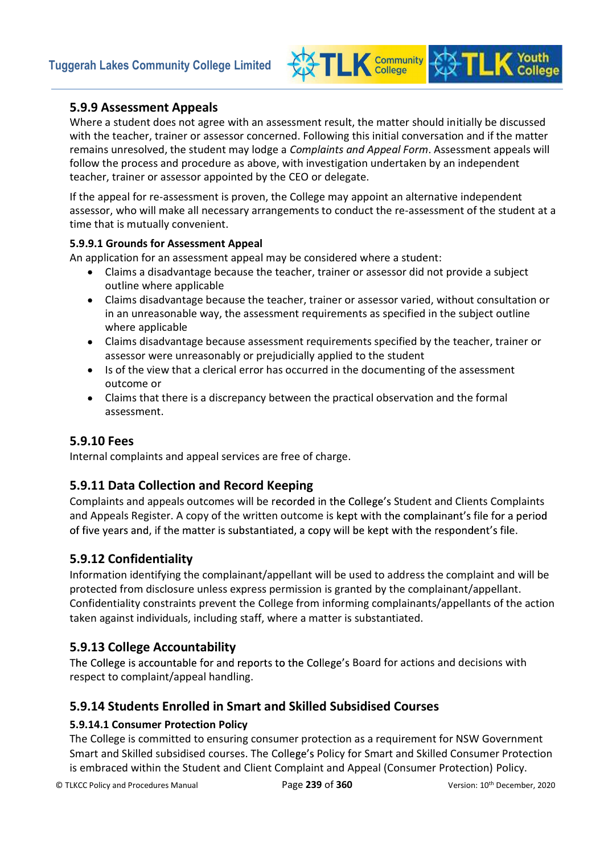## 5.9.9 Assessment Appeals

Where a student does not agree with an assessment result, the matter should initially be discussed with the teacher, trainer or assessor concerned. Following this initial conversation and if the matter remains unresolved, the student may lodge a Complaints and Appeal Form. Assessment appeals will follow the process and procedure as above, with investigation undertaken by an independent teacher, trainer or assessor appointed by the CEO or delegate.

K Community

If the appeal for re-assessment is proven, the College may appoint an alternative independent assessor, who will make all necessary arrangements to conduct the re-assessment of the student at a time that is mutually convenient.

#### 5.9.9.1 Grounds for Assessment Appeal

An application for an assessment appeal may be considered where a student:

- Claims a disadvantage because the teacher, trainer or assessor did not provide a subject outline where applicable
- Claims disadvantage because the teacher, trainer or assessor varied, without consultation or in an unreasonable way, the assessment requirements as specified in the subject outline where applicable
- Claims disadvantage because assessment requirements specified by the teacher, trainer or assessor were unreasonably or prejudicially applied to the student
- Is of the view that a clerical error has occurred in the documenting of the assessment outcome or
- Claims that there is a discrepancy between the practical observation and the formal assessment.

# 5.9.10 Fees

Internal complaints and appeal services are free of charge.

## 5.9.11 Data Collection and Record Keeping

Complaints and appeals outcomes will be recorded in the College's Student and Clients Complaints and Appeals Register. A copy of the written outcome is kept with the complainant's file for a period of five years and, if the matter is substantiated, a copy will be kept with the respondent's file.

# 5.9.12 Confidentiality

Information identifying the complainant/appellant will be used to address the complaint and will be protected from disclosure unless express permission is granted by the complainant/appellant. Confidentiality constraints prevent the College from informing complainants/appellants of the action taken against individuals, including staff, where a matter is substantiated.

# 5.9.13 College Accountability

The College is accountable for and reports to the College's Board for actions and decisions with respect to complaint/appeal handling.

# 5.9.14 Students Enrolled in Smart and Skilled Subsidised Courses

#### 5.9.14.1 Consumer Protection Policy

The College is committed to ensuring consumer protection as a requirement for NSW Government Smart and Skilled subsidised courses. The College's Policy for Smart and Skilled Consumer Protection is embraced within the Student and Client Complaint and Appeal (Consumer Protection) Policy.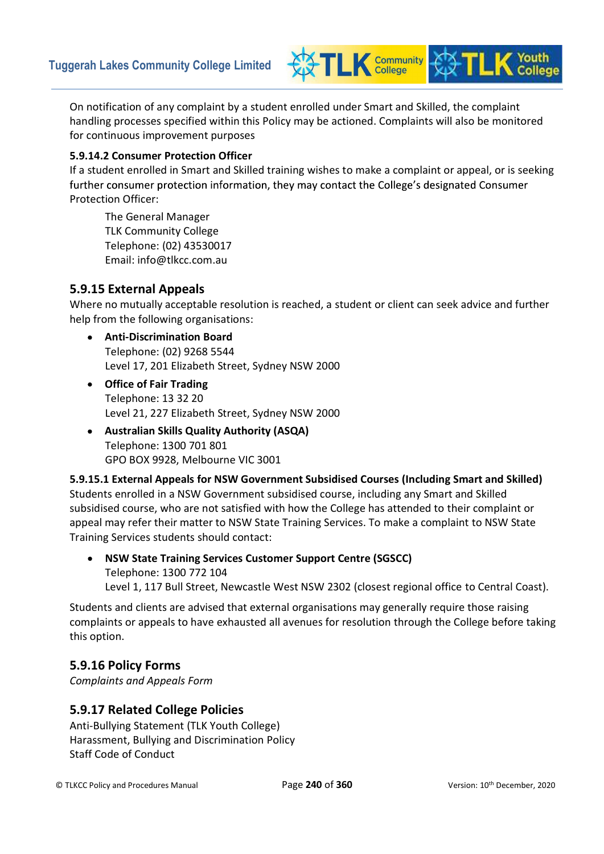On notification of any complaint by a student enrolled under Smart and Skilled, the complaint handling processes specified within this Policy may be actioned. Complaints will also be monitored for continuous improvement purposes

**LK** Community

#### 5.9.14.2 Consumer Protection Officer

If a student enrolled in Smart and Skilled training wishes to make a complaint or appeal, or is seeking further consumer protection information, they may contact the College's designated Consumer Protection Officer:

The General Manager TLK Community College Telephone: (02) 43530017 Email: info@tlkcc.com.au

# 5.9.15 External Appeals

Where no mutually acceptable resolution is reached, a student or client can seek advice and further help from the following organisations:

- Anti-Discrimination Board Telephone: (02) 9268 5544 Level 17, 201 Elizabeth Street, Sydney NSW 2000
- Office of Fair Trading Telephone: 13 32 20 Level 21, 227 Elizabeth Street, Sydney NSW 2000
- Australian Skills Quality Authority (ASQA) Telephone: 1300 701 801 GPO BOX 9928, Melbourne VIC 3001

5.9.15.1 External Appeals for NSW Government Subsidised Courses (Including Smart and Skilled) Students enrolled in a NSW Government subsidised course, including any Smart and Skilled subsidised course, who are not satisfied with how the College has attended to their complaint or appeal may refer their matter to NSW State Training Services. To make a complaint to NSW State Training Services students should contact:

NSW State Training Services Customer Support Centre (SGSCC) Telephone: 1300 772 104 Level 1, 117 Bull Street, Newcastle West NSW 2302 (closest regional office to Central Coast).

Students and clients are advised that external organisations may generally require those raising complaints or appeals to have exhausted all avenues for resolution through the College before taking this option.

# 5.9.16 Policy Forms

Complaints and Appeals Form

## 5.9.17 Related College Policies

Anti-Bullying Statement (TLK Youth College) Harassment, Bullying and Discrimination Policy Staff Code of Conduct